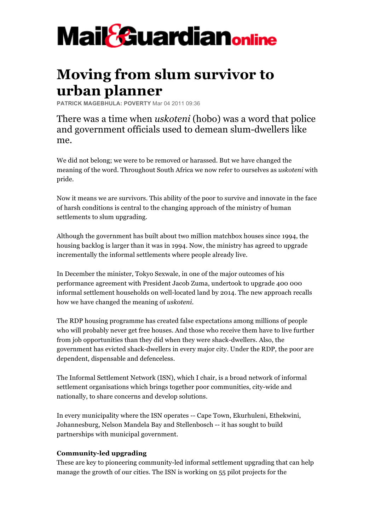

## **Moving from slum survivor to urban planner**

**PATRICK MAGEBHULA: POVERTY** Mar 04 2011 09:36

There was a time when *uskoteni* (hobo) was a word that police and government officials used to demean slum-dwellers like me.

We did not belong; we were to be removed or harassed. But we have changed the meaning of the word. Throughout South Africa we now refer to ourselves as *uskoteni* with pride.

Now it means we are survivors. This ability of the poor to survive and innovate in the face of harsh conditions is central to the changing approach of the ministry of human settlements to slum upgrading.

Although the government has built about two million matchbox houses since 1994, the housing backlog is larger than it was in 1994. Now, the ministry has agreed to upgrade incrementally the informal settlements where people already live.

In December the minister, Tokyo Sexwale, in one of the major outcomes of his performance agreement with President Jacob Zuma, undertook to upgrade 400 000 informal settlement households on well-located land by 2014. The new approach recalls how we have changed the meaning of *uskoteni*.

The RDP housing programme has created false expectations among millions of people who will probably never get free houses. And those who receive them have to live further from job opportunities than they did when they were shack-dwellers. Also, the government has evicted shack-dwellers in every major city. Under the RDP, the poor are dependent, dispensable and defenceless.

The Informal Settlement Network (ISN), which I chair, is a broad network of informal settlement organisations which brings together poor communities, city-wide and nationally, to share concerns and develop solutions.

In every municipality where the ISN operates -- Cape Town, Ekurhuleni, Ethekwini, Johannesburg, Nelson Mandela Bay and Stellenbosch -- it has sought to build partnerships with municipal government.

## **Community-led upgrading**

These are key to pioneering community-led informal settlement upgrading that can help manage the growth of our cities. The ISN is working on 55 pilot projects for the